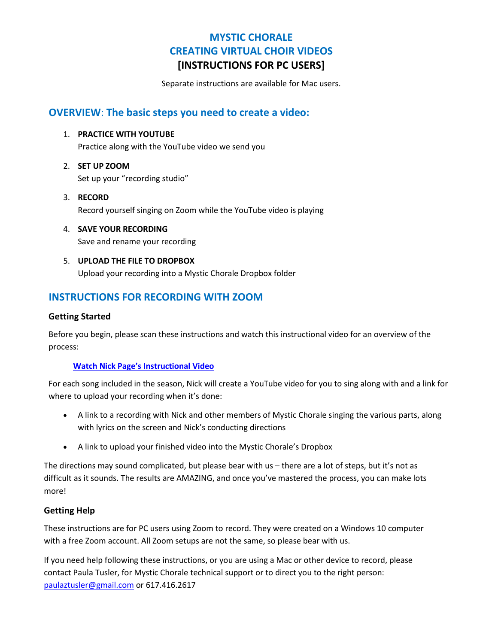# **MYSTIC CHORALE CREATING VIRTUAL CHOIR VIDEOS [INSTRUCTIONS FOR PC USERS]**

Separate instructions are available for Mac users.

### **OVERVIEW**: **The basic steps you need to create a video:**

1. **PRACTICE WITH YOUTUBE**

Practice along with the YouTube video we send you

- 2. **SET UP ZOOM** Set up your "recording studio"
- 3. **RECORD** Record yourself singing on Zoom while the YouTube video is playing
- 4. **SAVE YOUR RECORDING** Save and rename your recording
- 5. **UPLOAD THE FILE TO DROPBOX** Upload your recording into a Mystic Chorale Dropbox folder

# **INSTRUCTIONS FOR RECORDING WITH ZOOM**

#### **Getting Started**

Before you begin, please scan these instructions and watch this instructional video for an overview of the process:

#### **[Watch Nick Page's Instructional Video](https://youtu.be/Xb36QDuZtJg)**

For each song included in the season, Nick will create a YouTube video for you to sing along with and a link for where to upload your recording when it's done:

- A link to a recording with Nick and other members of Mystic Chorale singing the various parts, along with lyrics on the screen and Nick's conducting directions
- A link to upload your finished video into the Mystic Chorale's Dropbox

The directions may sound complicated, but please bear with us – there are a lot of steps, but it's not as difficult as it sounds. The results are AMAZING, and once you've mastered the process, you can make lots more!

#### **Getting Help**

These instructions are for PC users using Zoom to record. They were created on a Windows 10 computer with a free Zoom account. All Zoom setups are not the same, so please bear with us.

If you need help following these instructions, or you are using a Mac or other device to record, please contact Paula Tusler, for Mystic Chorale technical support or to direct you to the right person: [paulaztusler@gmail.com](mailto:paulaztusler@gmail.com) or 617.416.2617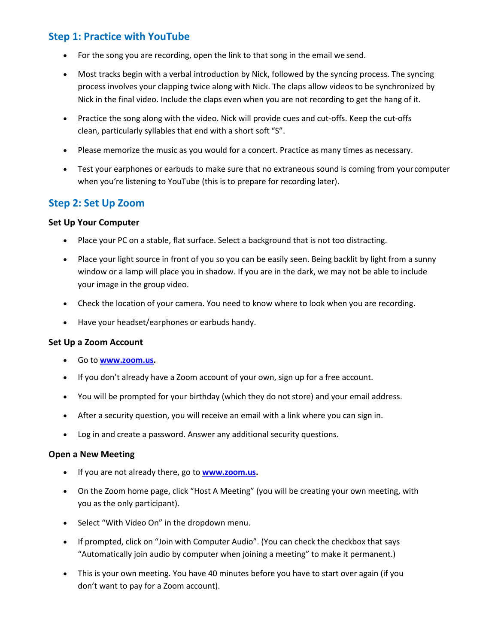# **Step 1: Practice with YouTube**

- For the song you are recording, open the link to that song in the email we send.
- Most tracks begin with a verbal introduction by Nick, followed by the syncing process. The syncing process involves your clapping twice along with Nick. The claps allow videos to be synchronized by Nick in the final video. Include the claps even when you are not recording to get the hang of it.
- Practice the song along with the video. Nick will provide cues and cut-offs. Keep the cut-offs clean, particularly syllables that end with a short soft "S".
- Please memorize the music as you would for a concert. Practice as many times as necessary.
- Test your earphones or earbuds to make sure that no extraneous sound is coming from your computer when you're listening to YouTube (this is to prepare for recording later).

# **Step 2: Set Up Zoom**

#### **Set Up Your Computer**

- Place your PC on a stable, flat surface. Select a background that is not too distracting.
- Place your light source in front of you so you can be easily seen. Being backlit by light from a sunny window or a lamp will place you in shadow. If you are in the dark, we may not be able to include your image in the group video.
- Check the location of your camera. You need to know where to look when you are recording.
- Have your headset/earphones or earbuds handy.

#### **Set Up a Zoom Account**

- Go to **[www.zoom.us.](http://www.zoom.us/)**
- If you don't already have a Zoom account of your own, sign up for a free account.
- You will be prompted for your birthday (which they do not store) and your email address.
- After a security question, you will receive an email with a link where you can sign in.
- Log in and create a password. Answer any additional security questions.

#### **Open a New Meeting**

- If you are not already there, go to **[www.zoom.us.](http://www.zoom.us/)**
- On the Zoom home page, click "Host A Meeting" (you will be creating your own meeting, with you as the only participant).
- Select "With Video On" in the dropdown menu.
- If prompted, click on "Join with Computer Audio". (You can check the checkbox that says "Automatically join audio by computer when joining a meeting" to make it permanent.)
- This is your own meeting. You have 40 minutes before you have to start over again (if you don't want to pay for a Zoom account).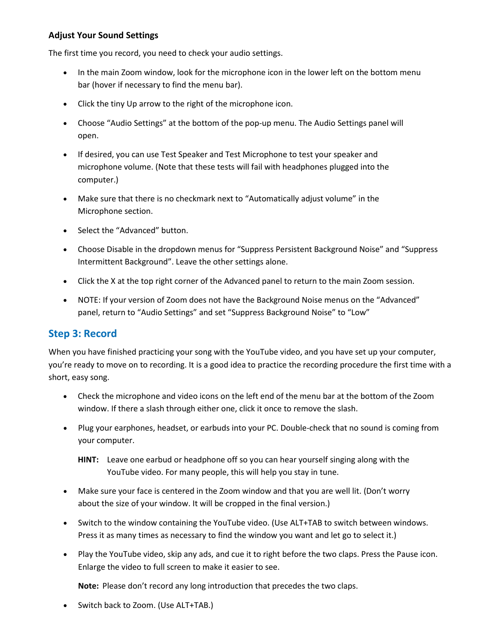#### **Adjust Your Sound Settings**

The first time you record, you need to check your audio settings.

- In the main Zoom window, look for the microphone icon in the lower left on the bottom menu bar (hover if necessary to find the menu bar).
- Click the tiny Up arrow to the right of the microphone icon.
- Choose "Audio Settings" at the bottom of the pop-up menu. The Audio Settings panel will open.
- If desired, you can use Test Speaker and Test Microphone to test your speaker and microphone volume. (Note that these tests will fail with headphones plugged into the computer.)
- Make sure that there is no checkmark next to "Automatically adjust volume" in the Microphone section.
- Select the "Advanced" button.
- Choose Disable in the dropdown menus for "Suppress Persistent Background Noise" and "Suppress Intermittent Background". Leave the other settings alone.
- Click the X at the top right corner of the Advanced panel to return to the main Zoom session.
- NOTE: If your version of Zoom does not have the Background Noise menus on the "Advanced" panel, return to "Audio Settings" and set "Suppress Background Noise" to "Low"

### **Step 3: Record**

When you have finished practicing your song with the YouTube video, and you have set up your computer, you're ready to move on to recording. It is a good idea to practice the recording procedure the first time with a short, easy song.

- Check the microphone and video icons on the left end of the menu bar at the bottom of the Zoom window. If there a slash through either one, click it once to remove the slash.
- Plug your earphones, headset, or earbuds into your PC. Double-check that no sound is coming from your computer.
	- **HINT:** Leave one earbud or headphone off so you can hear yourself singing along with the YouTube video. For many people, this will help you stay in tune.
- Make sure your face is centered in the Zoom window and that you are well lit. (Don't worry about the size of your window. It will be cropped in the final version.)
- Switch to the window containing the YouTube video. (Use ALT+TAB to switch between windows. Press it as many times as necessary to find the window you want and let go to select it.)
- Play the YouTube video, skip any ads, and cue it to right before the two claps. Press the Pause icon. Enlarge the video to full screen to make it easier to see.

**Note:** Please don't record any long introduction that precedes the two claps.

• Switch back to Zoom. (Use ALT+TAB.)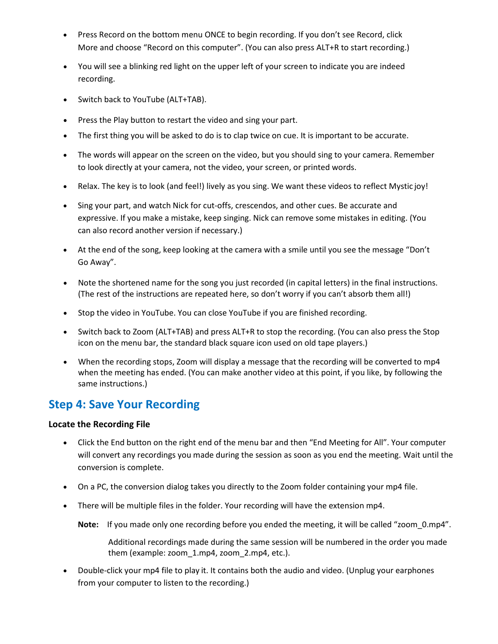- Press Record on the bottom menu ONCE to begin recording. If you don't see Record, click More and choose "Record on this computer". (You can also press ALT+R to start recording.)
- You will see a blinking red light on the upper left of your screen to indicate you are indeed recording.
- Switch back to YouTube (ALT+TAB).
- Press the Play button to restart the video and sing your part.
- The first thing you will be asked to do is to clap twice on cue. It is important to be accurate.
- The words will appear on the screen on the video, but you should sing to your camera. Remember to look directly at your camera, not the video, your screen, or printed words.
- Relax. The key is to look (and feel!) lively as you sing. We want these videos to reflect Mystic joy!
- Sing your part, and watch Nick for cut-offs, crescendos, and other cues. Be accurate and expressive. If you make a mistake, keep singing. Nick can remove some mistakes in editing. (You can also record another version if necessary.)
- At the end of the song, keep looking at the camera with a smile until you see the message "Don't Go Away".
- Note the shortened name for the song you just recorded (in capital letters) in the final instructions. (The rest of the instructions are repeated here, so don't worry if you can't absorb them all!)
- Stop the video in YouTube. You can close YouTube if you are finished recording.
- Switch back to Zoom (ALT+TAB) and press ALT+R to stop the recording. (You can also press the Stop icon on the menu bar, the standard black square icon used on old tape players.)
- When the recording stops, Zoom will display a message that the recording will be converted to mp4 when the meeting has ended. (You can make another video at this point, if you like, by following the same instructions.)

# **Step 4: Save Your Recording**

#### **Locate the Recording File**

- Click the End button on the right end of the menu bar and then "End Meeting for All". Your computer will convert any recordings you made during the session as soon as you end the meeting. Wait until the conversion is complete.
- On a PC, the conversion dialog takes you directly to the Zoom folder containing your mp4 file.
- There will be multiple files in the folder. Your recording will have the extension mp4.
	- **Note:** If you made only one recording before you ended the meeting, it will be called "zoom\_0.mp4".

Additional recordings made during the same session will be numbered in the order you made them (example: zoom\_1.mp4, zoom\_2.mp4, etc.).

• Double-click your mp4 file to play it. It contains both the audio and video. (Unplug your earphones from your computer to listen to the recording.)